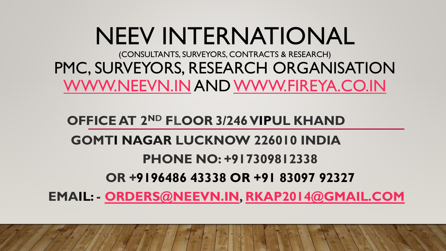# NEEV INTERNATIONAL

(CONSULTANTS, SURVEYORS, CONTRACTS & RESEARCH) PMC, SURVEYORS, RESEARCH ORGANISATION [WWW.NEEVN.IN](http://www.neevn.in/) AND [WWW.FIREYA.CO.IN](http://www.fireya.co.in/)

### **OFFICE AT 2ND FLOOR 3/246VIPUL KHAND**

## **GOMTI NAGAR LUCKNOW 226010 INDIA**

### **PHONE NO: +917309812338**

### **OR +9196486 43338 OR +91 83097 92327**

**EMAIL: - [ORDERS@NEEVN.IN,](mailto:orders@neevn.in) [RKAP2014@GMAIL.COM](mailto:rkap2014@gmail.com)**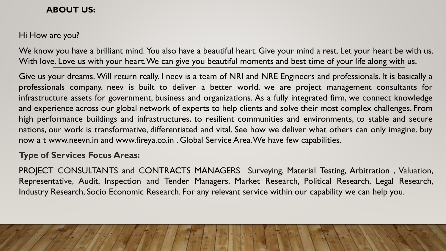#### **ABOUT US:**

Hi How are you?

We know you have a brilliant mind. You also have a beautiful heart. Give your mind a rest. Let your heart be with us. With love. Love us with your heart.We can give you beautiful moments and best time of your life along with us.

Give us your dreams. Will return really. I neev is a team of NRI and NRE Engineers and professionals. It is basically a professionals company. neev is built to deliver a better world. we are project management consultants for infrastructure assets for government, business and organizations. As a fully integrated firm, we connect knowledge and experience across our global network of experts to help clients and solve their most complex challenges. From high performance buildings and infrastructures, to resilient communities and environments, to stable and secure nations, our work is transformative, differentiated and vital. See how we deliver what others can only imagine. buy now a t www.neevn.in and www.fireya.co.in . Global Service Area.We have few capabilities.

#### **Type of Services Focus Areas:**

PROJECT CONSULTANTS and CONTRACTS MANAGERS Surveying, Material Testing, Arbitration , Valuation, Representative, Audit, Inspection and Tender Managers. Market Research, Political Research, Legal Research, Industry Research, Socio Economic Research. For any relevant service within our capability we can help you.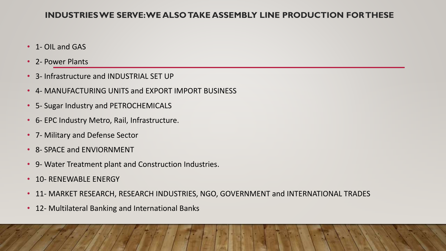#### **INDUSTRIES WE SERVE: WE ALSO TAKE ASSEMBLY LINE PRODUCTION FOR THESE**

- 1- OIL and GAS
- 2- Power Plants
- 3- Infrastructure and INDUSTRIAL SET UP
- 4- MANUFACTURING UNITS and EXPORT IMPORT BUSINESS
- 5- Sugar Industry and PETROCHEMICALS
- 6- EPC Industry Metro, Rail, Infrastructure.
- 7- Military and Defense Sector
- 8- SPACE and ENVIORNMENT
- 9- Water Treatment plant and Construction Industries.
- 10- RENEWABLE ENERGY
- 11- MARKET RESEARCH, RESEARCH INDUSTRIES, NGO, GOVERNMENT and INTERNATIONAL TRADES
- 12- Multilateral Banking and International Banks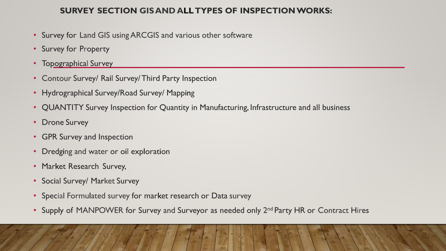#### **SURVEY SECTION GISAND ALL TYPES OF INSPECTIONWORKS:**

- Survey for Land GIS using ARCGIS and various other software
- Survey for Property
- Topographical Survey
- Contour Survey/ Rail Survey/ Third Party Inspection
- Hydrographical Survey/Road Survey/ Mapping
- QUANTITY Survey Inspection for Quantity in Manufacturing, Infrastructure and all business
- Drone Survey
- GPR Survey and Inspection
- Dredging and water or oil exploration
- Market Research Survey,
- Social Survey/ Market Survey
- Special Formulated survey for market research or Data survey
- Supply of MANPOWER for Survey and Surveyor as needed only 2<sup>nd</sup> Party HR or Contract Hires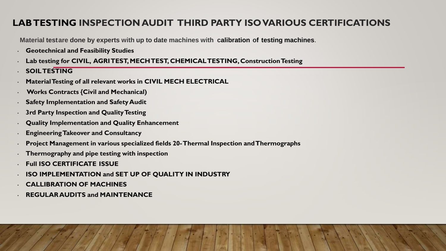#### **LAB TESTING INSPECTION AUDIT THIRD PARTY ISO VARIOUS CERTIFICATIONS**

**Material testare done by experts with up to date machines with calibration of testing machines**.

- **Geotechnical and Feasibility Studies**
- Lab testing for CIVIL, AGRI TEST, MECH TEST, CHEMICAL TESTING, Construction Testing
- **SOILTESTING**
- **Material Testing of all relevant works in CIVIL MECH ELECTRICAL**
- **Works Contracts {Civil and Mechanical)**
- **Safety Implementation and SafetyAudit**
- **3rd Party Inspection and Quality Testing**
- **Quality Implementation and Quality Enhancement**
- **EngineeringTakeover and Consultancy**
- **Project Management in various specialized fields 20-Thermal Inspection andThermographs**
- **Thermography and pipe testing with inspection**
- **Full ISO CERTIFICATE ISSUE**
- **ISO IMPLEMENTATION and SET UP OF QUALITY IN INDUSTRY**
- **CALLIBRATION OF MACHINES**
- **REGULAR AUDITS and MAINTENANCE**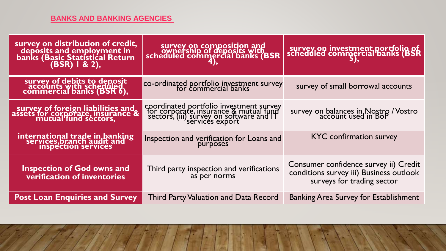#### **[BANKS AND BANKING AGENCIES](https://www.ask.com/web?q=Banks+and+Banking+Agencies%C2%A0&ad=dirN&qo=homepageSearchBox)**

| survey on distribution of credit,<br>deposits and employment in<br>banks (Basic Statistical Return<br>(BSR) 1 & 2), | survey on composition and<br>ownership of deposits with<br>scheduled commercial banks (BSR                                                       | survey on investment portfolio of<br>scheduled commercial banks (BSR                                           |
|---------------------------------------------------------------------------------------------------------------------|--------------------------------------------------------------------------------------------------------------------------------------------------|----------------------------------------------------------------------------------------------------------------|
| survey of debits to deposit<br>accounts with scheduled<br>commercial banks (BSR 6),                                 | co-ordinated portfolio investment survey                                                                                                         | survey of small borrowal accounts                                                                              |
| survey of foreign liabilities and<br>assets for corporate, insurance &<br>mutual fund sectors,                      | coordinated portfolio investment survey<br>for corporate, insurance & mutual fund<br>sectors, (iii) survey on software and IT<br>services export | survey on balances in Nostro / Vostro<br>account used in BoP                                                   |
| international trade in banking<br>services,branch audit and<br>inspection services                                  | Inspection and verification for Loans and<br>purposes                                                                                            | <b>KYC</b> confirmation survey                                                                                 |
| <b>Inspection of God owns and</b><br>verification of inventories                                                    | Third party inspection and verifications<br>as per norms                                                                                         | Consumer confidence survey ii) Credit<br>conditions survey iii) Business outlook<br>surveys for trading sector |
| <b>Post Loan Enquiries and Survey</b>                                                                               | <b>Third Party Valuation and Data Record</b>                                                                                                     | <b>Banking Area Survey for Establishment</b>                                                                   |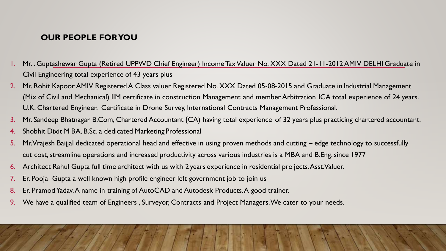#### **OUR PEOPLE FOR YOU**

- 1. Mr. . Guptashewar Gupta (Retired UPPWD Chief Engineer) Income Tax Valuer No. XXX Dated 21-11-2012 AMIV DELHIGraduate in Civil Engineering total experience of 43 years plus
- 2. Mr. Rohit Kapoor AMIV Registered A Class valuer Registered No. XXX Dated 05-08-2015 and Graduate in Industrial Management (Mix of Civil and Mechanical) IIM certificate in construction Management and member Arbitration ICA total experience of 24 years. U.K. Chartered Engineer. Certificate in Drone Survey, International Contracts Management Professional.
- 3. Mr. Sandeep Bhatnagar B.Com, Chartered Accountant {CA) having total experience of 32 years plus practicing chartered accountant.
- 4. Shobhit Dixit M BA, B.Sc. a dedicated Marketing Professional
- 5. Mr. Vrajesh Baijjal dedicated operational head and effective in using proven methods and cutting edge technology to successfully cut cost, streamline operations and increased productivity across various industries is a MBA and B.Eng. since 1977
- 6. Architect Rahul Gupta full time architect with us with 2 years experience in residential pro jects. Asst.Valuer.
- 7. Er. Pooja Gupta a well known high profile engineer left government job to join us
- 8. Er. Pramod Yadav. A name in training of AutoCAD and Autodesk Products. A good trainer.
- 9. We have a qualified team of Engineers , Surveyor, Contracts and Project Managers. We cater to your needs.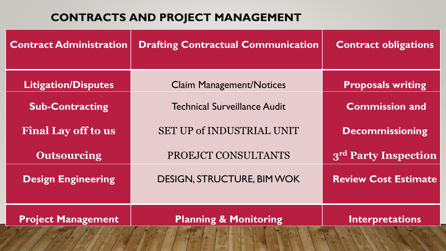### **CONTRACTS AND PROJECT MANAGEMENT**

| <b>Contract Administration</b> | <b>Drafting Contractual Communication</b> | <b>Contract obligations</b>      |
|--------------------------------|-------------------------------------------|----------------------------------|
| <b>Litigation/Disputes</b>     | <b>Claim Management/Notices</b>           | <b>Proposals writing</b>         |
| <b>Sub-Contracting</b>         | Technical Surveillance Audit              | <b>Commission and</b>            |
| <b>Final Lay off to us</b>     | <b>SET UP of INDUSTRIAL UNIT</b>          | <b>Decommissioning</b>           |
| <b>Outsourcing</b>             | PROEJCT CONSULTANTS                       | 3 <sup>rd</sup> Party Inspection |
| <b>Design Engineering</b>      | <b>DESIGN, STRUCTURE, BIM WOK</b>         | <b>Review Cost Estimate</b>      |
| <b>Project Management</b>      | <b>Planning &amp; Monitoring</b>          | <b>Interpretations</b>           |
|                                |                                           |                                  |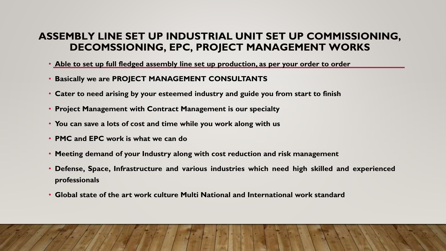#### **ASSEMBLY LINE SET UP INDUSTRIAL UNIT SET UP COMMISSIONING, DECOMSSIONING, EPC, PROJECT MANAGEMENT WORKS**

- **Able to set up full fledged assembly line set up production, as per your order to order**
- **Basically we are PROJECT MANAGEMENT CONSULTANTS**
- **Cater to need arising by your esteemed industry and guide you from start to finish**
- **Project Management with Contract Management is our specialty**
- **You can save a lots of cost and time while you work along with us**
- **PMC and EPC work is what we can do**
- **Meeting demand of your Industry along with cost reduction and risk management**
- **Defense, Space, Infrastructure and various industries which need high skilled and experienced professionals**
- **Global state of the art work culture Multi National and International work standard**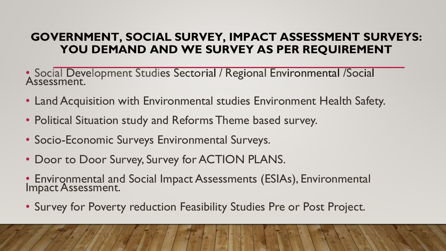### **GOVERNMENT, SOCIAL SURVEY, IMPACT ASSESSMENT SURVEYS: YOU DEMAND AND WE SURVEY AS PER REQUIREMENT**

- Social Development Studies Sectorial / Regional Environmental /Social Assessment.
- Land Acquisition with Environmental studies Environment Health Safety.
- Political Situation study and Reforms Theme based survey.
- Socio-Economic Surveys Environmental Surveys.
- Door to Door Survey, Survey for ACTION PLANS.
- Environmental and Social Impact Assessments (ESIAs), Environmental Impact Assessment.
- Survey for Poverty reduction Feasibility Studies Pre or Post Project.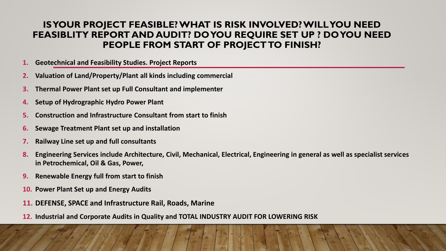#### **IS YOUR PROJECT FEASIBLE? WHAT IS RISK INVOLVED? WILL YOU NEED FEASIBLITY REPORT AND AUDIT? DO YOU REQUIRE SET UP ? DO YOU NEED PEOPLE FROM START OF PROJECT TO FINISH?**

- **1. Geotechnical and Feasibility Studies. Project Reports**
- **2. Valuation of Land/Property/Plant all kinds including commercial**
- **3. Thermal Power Plant set up Full Consultant and implementer**
- **4. Setup of Hydrographic Hydro Power Plant**
- **5. Construction and Infrastructure Consultant from start to finish**
- **6. Sewage Treatment Plant set up and installation**
- **7. Railway Line set up and full consultants**
- **8. Engineering Services include Architecture, Civil, Mechanical, Electrical, Engineering in general as well as specialist services in Petrochemical, Oil & Gas, Power,**
- **9. Renewable Energy full from start to finish**
- **10. Power Plant Set up and Energy Audits**
- **11. DEFENSE, SPACE and Infrastructure Rail, Roads, Marine**
- **12. Industrial and Corporate Audits in Quality and TOTAL INDUSTRY AUDIT FOR LOWERING RISK**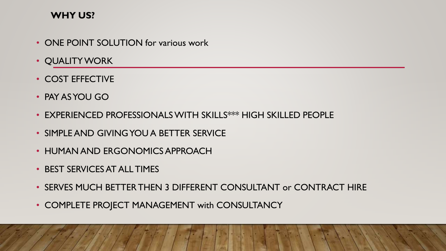#### **WHY US?**

- ONE POINT SOLUTION for various work
- QUALITY WORK
- COST EFFECTIVE
- PAY AS YOU GO
- EXPERIENCED PROFESSIONALS WITH SKILLS\*\*\* HIGH SKILLED PEOPLE
- SIMPLE AND GIVING YOU A BETTER SERVICE
- HUMAN AND ERGONOMICS APPROACH
- BEST SERVICES AT ALL TIMES
- SERVES MUCH BETTER THEN 3 DIFFERENT CONSULTANT or CONTRACT HIRE
- COMPLETE PROJECT MANAGEMENT with CONSULTANCY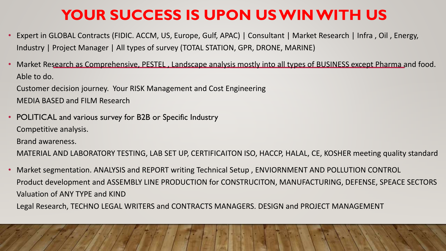# **YOUR SUCCESS IS UPON US WIN WITH US**

- Expert in GLOBAL Contracts (FIDIC. ACCM, US, Europe, Gulf, APAC) | Consultant | Market Research | Infra , Oil , Energy, Industry | Project Manager | All types of survey (TOTAL STATION, GPR, DRONE, MARINE)
- Market Research as Comprehensive, PESTEL , Landscape analysis mostly into all types of BUSINESS except Pharma and food. Able to do.

Customer decision journey. Your RISK Management and Cost Engineering MEDIA BASED and FILM Research

• POLITICAL and various survey for B2B or Specific Industry Competitive analysis. Brand awareness.

MATERIAL AND LABORATORY TESTING, LAB SET UP, CERTIFICAITON ISO, HACCP, HALAL, CE, KOSHER meeting quality standard

• Market segmentation. ANALYSIS and REPORT writing Technical Setup , ENVIORNMENT AND POLLUTION CONTROL Product development and ASSEMBLY LINE PRODUCTION for CONSTRUCITON, MANUFACTURING, DEFENSE, SPEACE SECTORS Valuation of ANY TYPE and KIND

Legal Research, TECHNO LEGAL WRITERS and CONTRACTS MANAGERS. DESIGN and PROJECT MANAGEMENT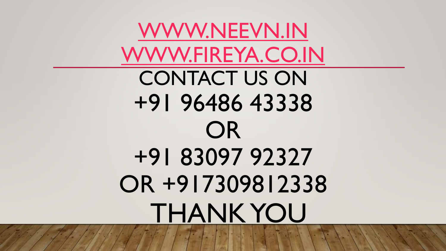[WWW.NEEVN.IN](http://www.neevn.in/) [WWW.FIREYA.CO.IN](http://www.fireya.co.in/) CONTACT US ON +91 96486 43338 OR +91 83097 92327 OR +917309812338 THANK YOU